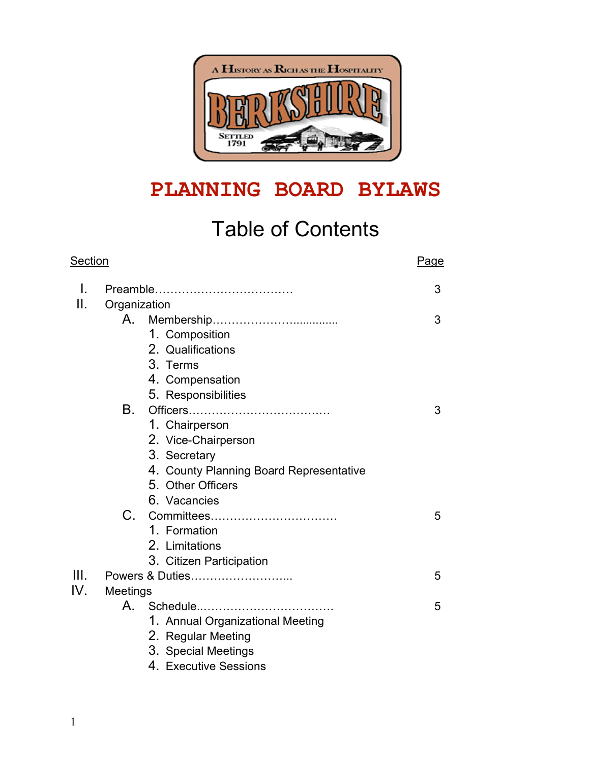

# **PLANNING BOARD BYLAWS**

# Table of Contents

| <b>Section</b> |                                         |   |
|----------------|-----------------------------------------|---|
| I.             |                                         | 3 |
| Ш.             | Organization                            |   |
|                |                                         | 3 |
|                | 1. Composition                          |   |
|                | 2. Qualifications                       |   |
|                | 3. Terms                                |   |
|                | 4. Compensation                         |   |
|                | 5. Responsibilities                     |   |
|                | В.                                      | 3 |
|                | 1. Chairperson                          |   |
|                | 2. Vice-Chairperson                     |   |
|                | 3. Secretary                            |   |
|                | 4. County Planning Board Representative |   |
|                | 5. Other Officers                       |   |
|                | 6. Vacancies                            |   |
|                | $C_{\cdot}$                             | 5 |
|                | 1. Formation                            |   |
|                | 2. Limitations                          |   |
|                | 3. Citizen Participation                |   |
| III.           | Powers & Duties                         | 5 |
| IV.            | Meetings                                |   |
|                |                                         | 5 |
|                | 1. Annual Organizational Meeting        |   |
|                | 2. Regular Meeting                      |   |
|                | 3. Special Meetings                     |   |
|                | $\Lambda$ . Fussible Cassis             |   |

4. Executive Sessions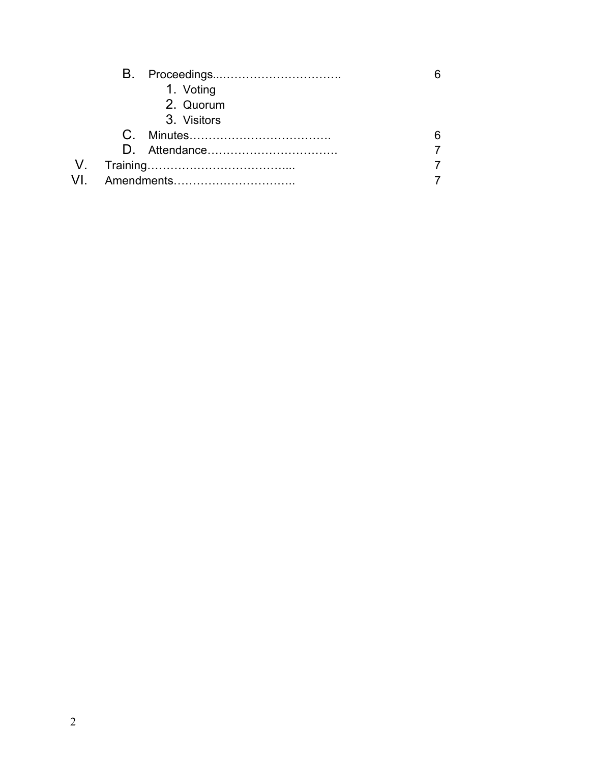|  | 1. Voting   |   |
|--|-------------|---|
|  | 2. Quorum   |   |
|  | 3. Visitors |   |
|  |             | 6 |
|  |             |   |
|  |             |   |
|  |             |   |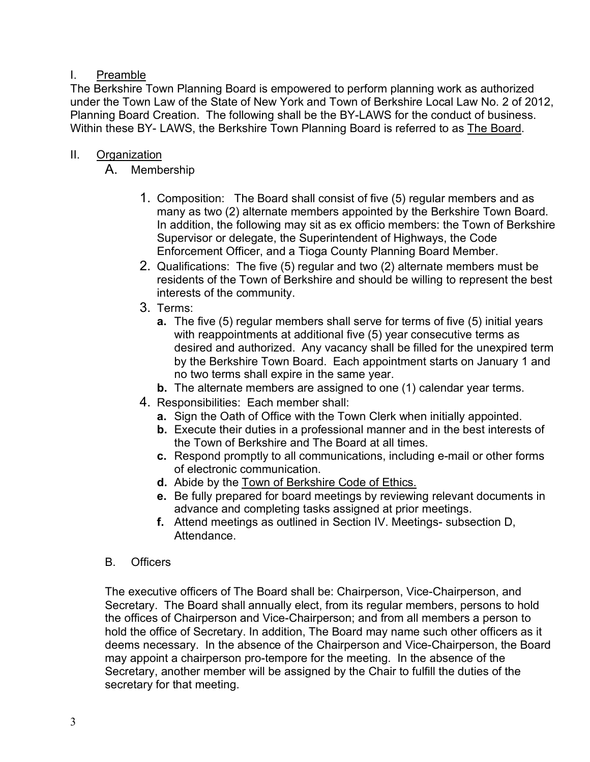# I. Preamble

The Berkshire Town Planning Board is empowered to perform planning work as authorized under the Town Law of the State of New York and Town of Berkshire Local Law No. 2 of 2012, Planning Board Creation. The following shall be the BY-LAWS for the conduct of business. Within these BY- LAWS, the Berkshire Town Planning Board is referred to as The Board.

# II. Organization

A. Membership

- 1. Composition: The Board shall consist of five (5) regular members and as many as two (2) alternate members appointed by the Berkshire Town Board. In addition, the following may sit as ex officio members: the Town of Berkshire Supervisor or delegate, the Superintendent of Highways, the Code Enforcement Officer, and a Tioga County Planning Board Member.
- 2. Qualifications: The five (5) regular and two (2) alternate members must be residents of the Town of Berkshire and should be willing to represent the best interests of the community.
- 3. Terms:
	- **a.** The five (5) regular members shall serve for terms of five (5) initial years with reappointments at additional five (5) year consecutive terms as desired and authorized. Any vacancy shall be filled for the unexpired term by the Berkshire Town Board. Each appointment starts on January 1 and no two terms shall expire in the same year.
	- **b.** The alternate members are assigned to one (1) calendar year terms.
- 4. Responsibilities: Each member shall:
	- **a.** Sign the Oath of Office with the Town Clerk when initially appointed.
	- **b.** Execute their duties in a professional manner and in the best interests of the Town of Berkshire and The Board at all times.
	- **c.** Respond promptly to all communications, including e-mail or other forms of electronic communication.
	- **d.** Abide by the Town of Berkshire Code of Ethics.
	- **e.** Be fully prepared for board meetings by reviewing relevant documents in advance and completing tasks assigned at prior meetings.
	- **f.** Attend meetings as outlined in Section IV. Meetings- subsection D, Attendance.

# B. Officers

The executive officers of The Board shall be: Chairperson, Vice-Chairperson, and Secretary. The Board shall annually elect, from its regular members, persons to hold the offices of Chairperson and Vice-Chairperson; and from all members a person to hold the office of Secretary. In addition, The Board may name such other officers as it deems necessary. In the absence of the Chairperson and Vice-Chairperson, the Board may appoint a chairperson pro-tempore for the meeting. In the absence of the Secretary, another member will be assigned by the Chair to fulfill the duties of the secretary for that meeting.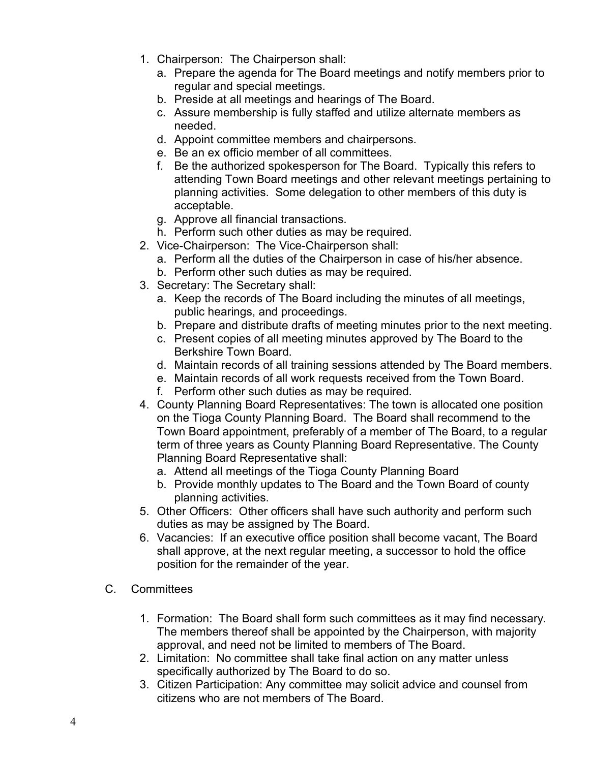- 1. Chairperson: The Chairperson shall:
	- a. Prepare the agenda for The Board meetings and notify members prior to regular and special meetings.
	- b. Preside at all meetings and hearings of The Board.
	- c. Assure membership is fully staffed and utilize alternate members as needed.
	- d. Appoint committee members and chairpersons.
	- e. Be an ex officio member of all committees.
	- f. Be the authorized spokesperson for The Board. Typically this refers to attending Town Board meetings and other relevant meetings pertaining to planning activities. Some delegation to other members of this duty is acceptable.
	- g. Approve all financial transactions.
	- h. Perform such other duties as may be required.
- 2. Vice-Chairperson: The Vice-Chairperson shall:
	- a. Perform all the duties of the Chairperson in case of his/her absence.
	- b. Perform other such duties as may be required.
- 3. Secretary: The Secretary shall:
	- a. Keep the records of The Board including the minutes of all meetings, public hearings, and proceedings.
	- b. Prepare and distribute drafts of meeting minutes prior to the next meeting.
	- c. Present copies of all meeting minutes approved by The Board to the Berkshire Town Board.
	- d. Maintain records of all training sessions attended by The Board members.
	- e. Maintain records of all work requests received from the Town Board.
	- f. Perform other such duties as may be required.
- 4. County Planning Board Representatives: The town is allocated one position on the Tioga County Planning Board. The Board shall recommend to the Town Board appointment, preferably of a member of The Board, to a regular term of three years as County Planning Board Representative. The County Planning Board Representative shall:
	- a. Attend all meetings of the Tioga County Planning Board
	- b. Provide monthly updates to The Board and the Town Board of county planning activities.
- 5. Other Officers: Other officers shall have such authority and perform such duties as may be assigned by The Board.
- 6. Vacancies: If an executive office position shall become vacant, The Board shall approve, at the next regular meeting, a successor to hold the office position for the remainder of the year.
- C. Committees
	- 1. Formation: The Board shall form such committees as it may find necessary. The members thereof shall be appointed by the Chairperson, with majority approval, and need not be limited to members of The Board.
	- 2. Limitation: No committee shall take final action on any matter unless specifically authorized by The Board to do so.
	- 3. Citizen Participation: Any committee may solicit advice and counsel from citizens who are not members of The Board.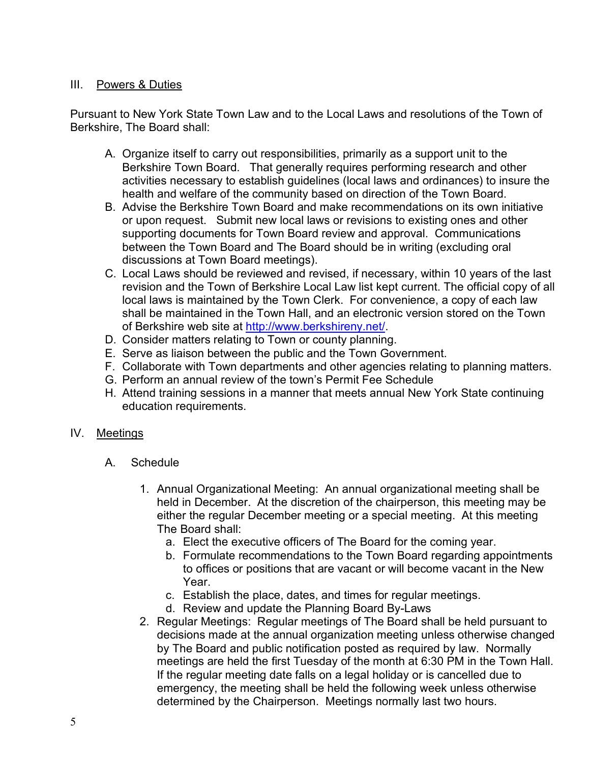#### III. Powers & Duties

Pursuant to New York State Town Law and to the Local Laws and resolutions of the Town of Berkshire, The Board shall:

- A. Organize itself to carry out responsibilities, primarily as a support unit to the Berkshire Town Board. That generally requires performing research and other activities necessary to establish guidelines (local laws and ordinances) to insure the health and welfare of the community based on direction of the Town Board.
- B. Advise the Berkshire Town Board and make recommendations on its own initiative or upon request. Submit new local laws or revisions to existing ones and other supporting documents for Town Board review and approval. Communications between the Town Board and The Board should be in writing (excluding oral discussions at Town Board meetings).
- C. Local Laws should be reviewed and revised, if necessary, within 10 years of the last revision and the Town of Berkshire Local Law list kept current. The official copy of all local laws is maintained by the Town Clerk. For convenience, a copy of each law shall be maintained in the Town Hall, and an electronic version stored on the Town of Berkshire web site at http://www.berkshireny.net/.
- D. Consider matters relating to Town or county planning.
- E. Serve as liaison between the public and the Town Government.
- F. Collaborate with Town departments and other agencies relating to planning matters.
- G. Perform an annual review of the town's Permit Fee Schedule
- H. Attend training sessions in a manner that meets annual New York State continuing education requirements.

#### IV. Meetings

- A. Schedule
	- 1. Annual Organizational Meeting: An annual organizational meeting shall be held in December. At the discretion of the chairperson, this meeting may be either the regular December meeting or a special meeting. At this meeting The Board shall:
		- a. Elect the executive officers of The Board for the coming year.
		- b. Formulate recommendations to the Town Board regarding appointments to offices or positions that are vacant or will become vacant in the New Year.
		- c. Establish the place, dates, and times for regular meetings.
		- d. Review and update the Planning Board By-Laws
	- 2. Regular Meetings: Regular meetings of The Board shall be held pursuant to decisions made at the annual organization meeting unless otherwise changed by The Board and public notification posted as required by law. Normally meetings are held the first Tuesday of the month at 6:30 PM in the Town Hall. If the regular meeting date falls on a legal holiday or is cancelled due to emergency, the meeting shall be held the following week unless otherwise determined by the Chairperson. Meetings normally last two hours.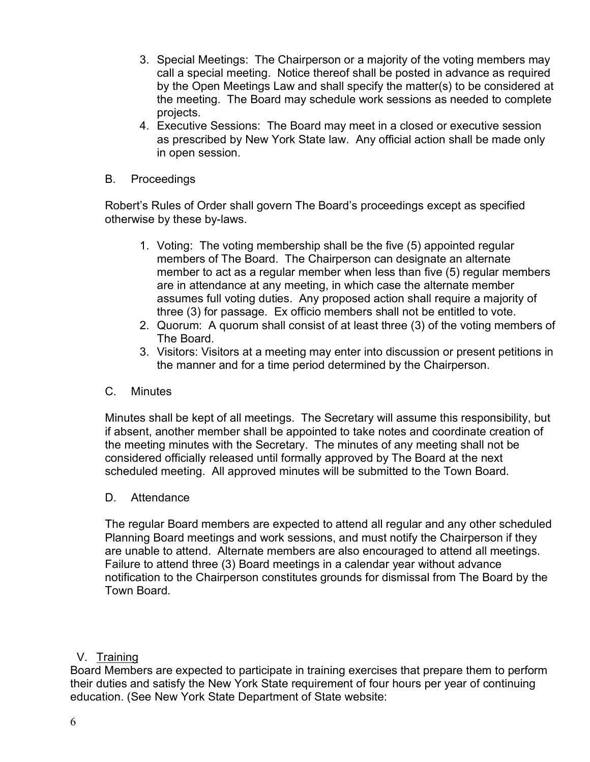- 3. Special Meetings: The Chairperson or a majority of the voting members may call a special meeting. Notice thereof shall be posted in advance as required by the Open Meetings Law and shall specify the matter(s) to be considered at the meeting. The Board may schedule work sessions as needed to complete projects.
- 4. Executive Sessions: The Board may meet in a closed or executive session as prescribed by New York State law. Any official action shall be made only in open session.
- B. Proceedings

Robert's Rules of Order shall govern The Board's proceedings except as specified otherwise by these by-laws.

- 1. Voting: The voting membership shall be the five (5) appointed regular members of The Board. The Chairperson can designate an alternate member to act as a regular member when less than five (5) regular members are in attendance at any meeting, in which case the alternate member assumes full voting duties. Any proposed action shall require a majority of three (3) for passage. Ex officio members shall not be entitled to vote.
- 2. Quorum: A quorum shall consist of at least three (3) of the voting members of The Board.
- 3. Visitors: Visitors at a meeting may enter into discussion or present petitions in the manner and for a time period determined by the Chairperson.
- C. Minutes

Minutes shall be kept of all meetings. The Secretary will assume this responsibility, but if absent, another member shall be appointed to take notes and coordinate creation of the meeting minutes with the Secretary. The minutes of any meeting shall not be considered officially released until formally approved by The Board at the next scheduled meeting. All approved minutes will be submitted to the Town Board.

D. Attendance

The regular Board members are expected to attend all regular and any other scheduled Planning Board meetings and work sessions, and must notify the Chairperson if they are unable to attend. Alternate members are also encouraged to attend all meetings. Failure to attend three (3) Board meetings in a calendar year without advance notification to the Chairperson constitutes grounds for dismissal from The Board by the Town Board.

#### V. Training

Board Members are expected to participate in training exercises that prepare them to perform their duties and satisfy the New York State requirement of four hours per year of continuing education. (See New York State Department of State website: